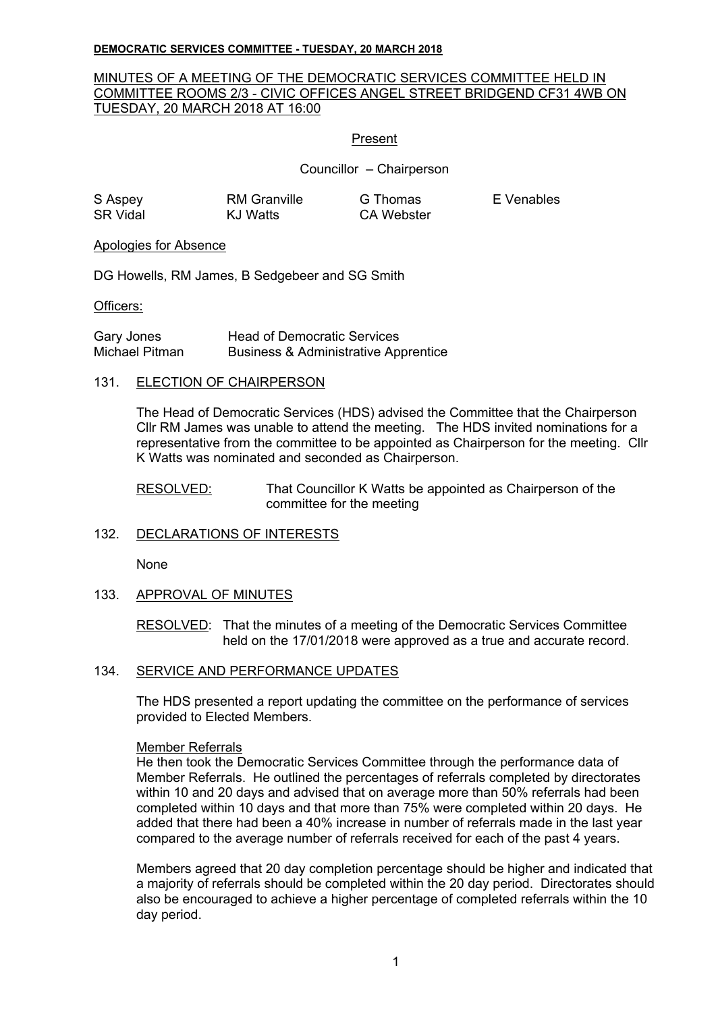#### **DEMOCRATIC SERVICES COMMITTEE - TUESDAY, 20 MARCH 2018**

## MINUTES OF A MEETING OF THE DEMOCRATIC SERVICES COMMITTEE HELD IN COMMITTEE ROOMS 2/3 - CIVIC OFFICES ANGEL STREET BRIDGEND CF31 4WB ON TUESDAY, 20 MARCH 2018 AT 16:00

### Present

Councillor – Chairperson

| S Aspey         | RM Granville | G Thomas   | E Venables |
|-----------------|--------------|------------|------------|
| <b>SR Vidal</b> | KJ Watts     | CA Webster |            |

#### Apologies for Absence

DG Howells, RM James, B Sedgebeer and SG Smith

#### Officers:

| Gary Jones     | <b>Head of Democratic Services</b>              |
|----------------|-------------------------------------------------|
| Michael Pitman | <b>Business &amp; Administrative Apprentice</b> |

#### 131. ELECTION OF CHAIRPERSON

The Head of Democratic Services (HDS) advised the Committee that the Chairperson Cllr RM James was unable to attend the meeting. The HDS invited nominations for a representative from the committee to be appointed as Chairperson for the meeting. Cllr K Watts was nominated and seconded as Chairperson.

RESOLVED: That Councillor K Watts be appointed as Chairperson of the committee for the meeting

# 132. DECLARATIONS OF INTERESTS

None

#### 133. APPROVAL OF MINUTES

RESOLVED: That the minutes of a meeting of the Democratic Services Committee held on the 17/01/2018 were approved as a true and accurate record.

#### 134. SERVICE AND PERFORMANCE UPDATES

The HDS presented a report updating the committee on the performance of services provided to Elected Members.

#### Member Referrals

He then took the Democratic Services Committee through the performance data of Member Referrals. He outlined the percentages of referrals completed by directorates within 10 and 20 days and advised that on average more than 50% referrals had been completed within 10 days and that more than 75% were completed within 20 days. He added that there had been a 40% increase in number of referrals made in the last year compared to the average number of referrals received for each of the past 4 years.

Members agreed that 20 day completion percentage should be higher and indicated that a majority of referrals should be completed within the 20 day period. Directorates should also be encouraged to achieve a higher percentage of completed referrals within the 10 day period.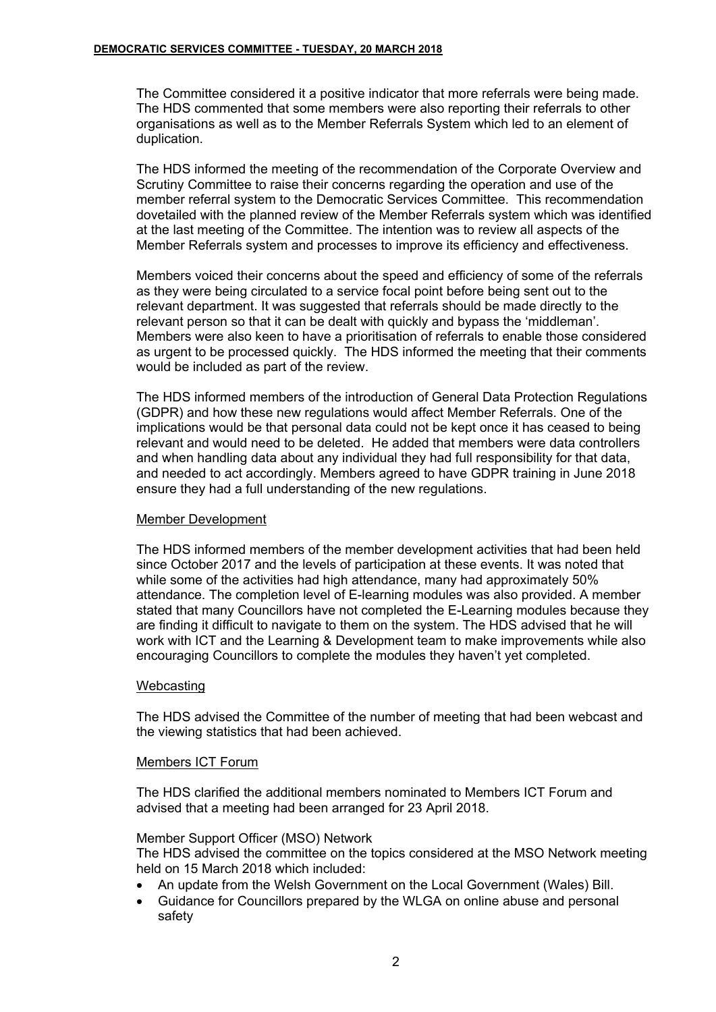The Committee considered it a positive indicator that more referrals were being made. The HDS commented that some members were also reporting their referrals to other organisations as well as to the Member Referrals System which led to an element of duplication.

The HDS informed the meeting of the recommendation of the Corporate Overview and Scrutiny Committee to raise their concerns regarding the operation and use of the member referral system to the Democratic Services Committee. This recommendation dovetailed with the planned review of the Member Referrals system which was identified at the last meeting of the Committee. The intention was to review all aspects of the Member Referrals system and processes to improve its efficiency and effectiveness.

Members voiced their concerns about the speed and efficiency of some of the referrals as they were being circulated to a service focal point before being sent out to the relevant department. It was suggested that referrals should be made directly to the relevant person so that it can be dealt with quickly and bypass the 'middleman'. Members were also keen to have a prioritisation of referrals to enable those considered as urgent to be processed quickly. The HDS informed the meeting that their comments would be included as part of the review.

The HDS informed members of the introduction of General Data Protection Regulations (GDPR) and how these new regulations would affect Member Referrals. One of the implications would be that personal data could not be kept once it has ceased to being relevant and would need to be deleted. He added that members were data controllers and when handling data about any individual they had full responsibility for that data, and needed to act accordingly. Members agreed to have GDPR training in June 2018 ensure they had a full understanding of the new regulations.

# Member Development

The HDS informed members of the member development activities that had been held since October 2017 and the levels of participation at these events. It was noted that while some of the activities had high attendance, many had approximately 50% attendance. The completion level of E-learning modules was also provided. A member stated that many Councillors have not completed the E-Learning modules because they are finding it difficult to navigate to them on the system. The HDS advised that he will work with ICT and the Learning & Development team to make improvements while also encouraging Councillors to complete the modules they haven't yet completed.

#### **Webcasting**

The HDS advised the Committee of the number of meeting that had been webcast and the viewing statistics that had been achieved.

#### Members ICT Forum

The HDS clarified the additional members nominated to Members ICT Forum and advised that a meeting had been arranged for 23 April 2018.

### Member Support Officer (MSO) Network

The HDS advised the committee on the topics considered at the MSO Network meeting held on 15 March 2018 which included:

- An update from the Welsh Government on the Local Government (Wales) Bill.
- Guidance for Councillors prepared by the WLGA on online abuse and personal safety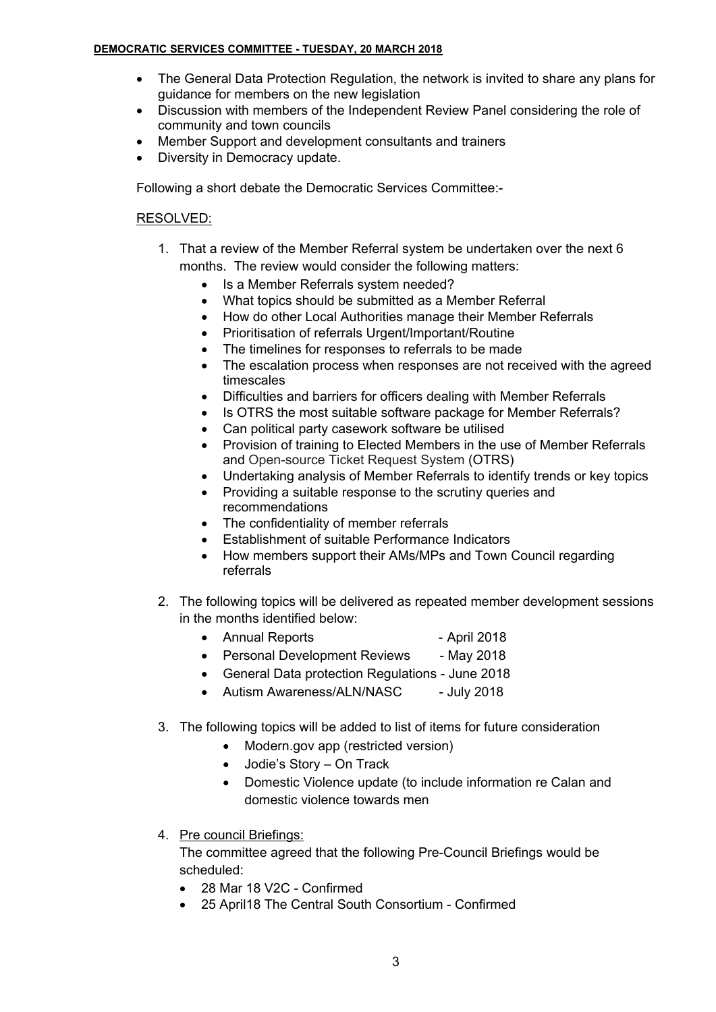### **DEMOCRATIC SERVICES COMMITTEE - TUESDAY, 20 MARCH 2018**

- The General Data Protection Regulation, the network is invited to share any plans for guidance for members on the new legislation
- Discussion with members of the Independent Review Panel considering the role of community and town councils
- Member Support and development consultants and trainers
- Diversity in Democracy update.

Following a short debate the Democratic Services Committee:-

# RESOLVED:

- 1. That a review of the Member Referral system be undertaken over the next 6 months. The review would consider the following matters:
	- Is a Member Referrals system needed?
	- What topics should be submitted as a Member Referral
	- How do other Local Authorities manage their Member Referrals
	- Prioritisation of referrals Urgent/Important/Routine
	- The timelines for responses to referrals to be made
	- The escalation process when responses are not received with the agreed timescales
	- Difficulties and barriers for officers dealing with Member Referrals
	- Is OTRS the most suitable software package for Member Referrals?
	- Can political party casework software be utilised
	- Provision of training to Elected Members in the use of Member Referrals and Open-source Ticket Request System (OTRS)
	- Undertaking analysis of Member Referrals to identify trends or key topics
	- Providing a suitable response to the scrutiny queries and recommendations
	- The confidentiality of member referrals
	- Establishment of suitable Performance Indicators
	- How members support their AMs/MPs and Town Council regarding referrals
- 2. The following topics will be delivered as repeated member development sessions in the months identified below:
	- Annual Reports April 2018
	- Personal Development Reviews May 2018
	- General Data protection Regulations June 2018
	- Autism Awareness/ALN/NASC July 2018
- 3. The following topics will be added to list of items for future consideration
	- Modern.gov app (restricted version)
	- Jodie's Story On Track
	- Domestic Violence update (to include information re Calan and domestic violence towards men
- 4. Pre council Briefings:

The committee agreed that the following Pre-Council Briefings would be scheduled:

- 28 Mar 18 V2C Confirmed
- 25 April18 The Central South Consortium Confirmed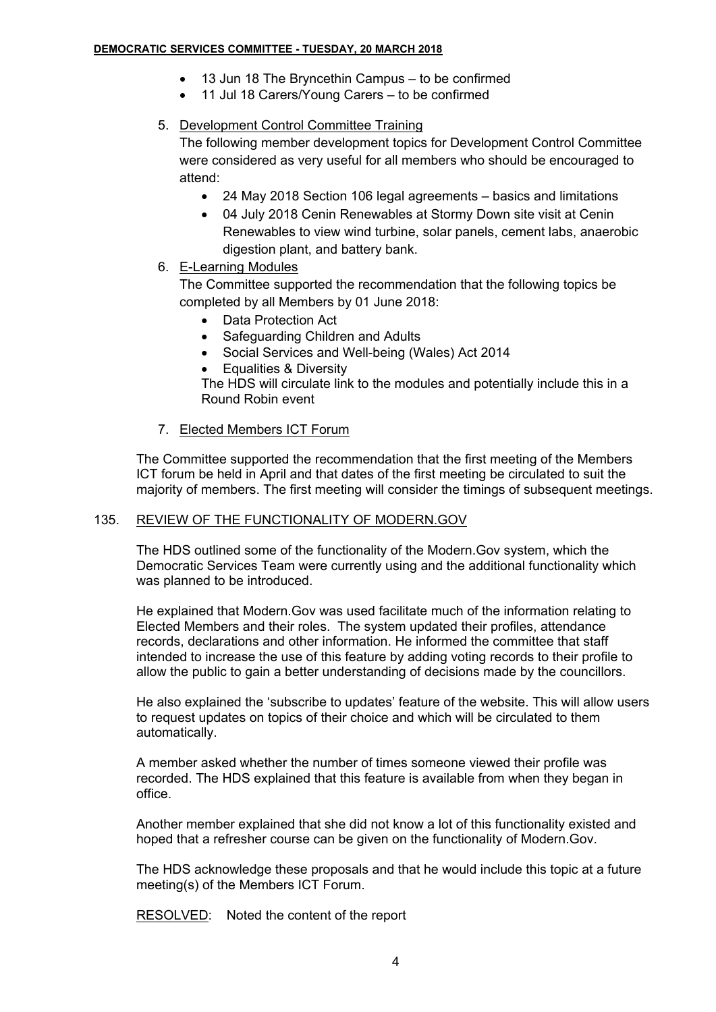#### **DEMOCRATIC SERVICES COMMITTEE - TUESDAY, 20 MARCH 2018**

- 13 Jun 18 The Bryncethin Campus to be confirmed
- 11 Jul 18 Carers/Young Carers to be confirmed

# 5. Development Control Committee Training

The following member development topics for Development Control Committee were considered as very useful for all members who should be encouraged to attend:

- 24 May 2018 Section 106 legal agreements basics and limitations
- 04 July 2018 Cenin Renewables at Stormy Down site visit at Cenin Renewables to view wind turbine, solar panels, cement labs, anaerobic digestion plant, and battery bank.
- 6. E-Learning Modules

The Committee supported the recommendation that the following topics be completed by all Members by 01 June 2018:

- Data Protection Act
- Safeguarding Children and Adults
- Social Services and Well-being (Wales) Act 2014
- Equalities & Diversity

The HDS will circulate link to the modules and potentially include this in a Round Robin event

# 7. Elected Members ICT Forum

The Committee supported the recommendation that the first meeting of the Members ICT forum be held in April and that dates of the first meeting be circulated to suit the majority of members. The first meeting will consider the timings of subsequent meetings.

# 135. REVIEW OF THE FUNCTIONALITY OF MODERN.GOV

The HDS outlined some of the functionality of the Modern.Gov system, which the Democratic Services Team were currently using and the additional functionality which was planned to be introduced.

He explained that Modern.Gov was used facilitate much of the information relating to Elected Members and their roles. The system updated their profiles, attendance records, declarations and other information. He informed the committee that staff intended to increase the use of this feature by adding voting records to their profile to allow the public to gain a better understanding of decisions made by the councillors.

He also explained the 'subscribe to updates' feature of the website. This will allow users to request updates on topics of their choice and which will be circulated to them automatically.

A member asked whether the number of times someone viewed their profile was recorded. The HDS explained that this feature is available from when they began in office.

Another member explained that she did not know a lot of this functionality existed and hoped that a refresher course can be given on the functionality of Modern.Gov.

The HDS acknowledge these proposals and that he would include this topic at a future meeting(s) of the Members ICT Forum.

RESOLVED: Noted the content of the report